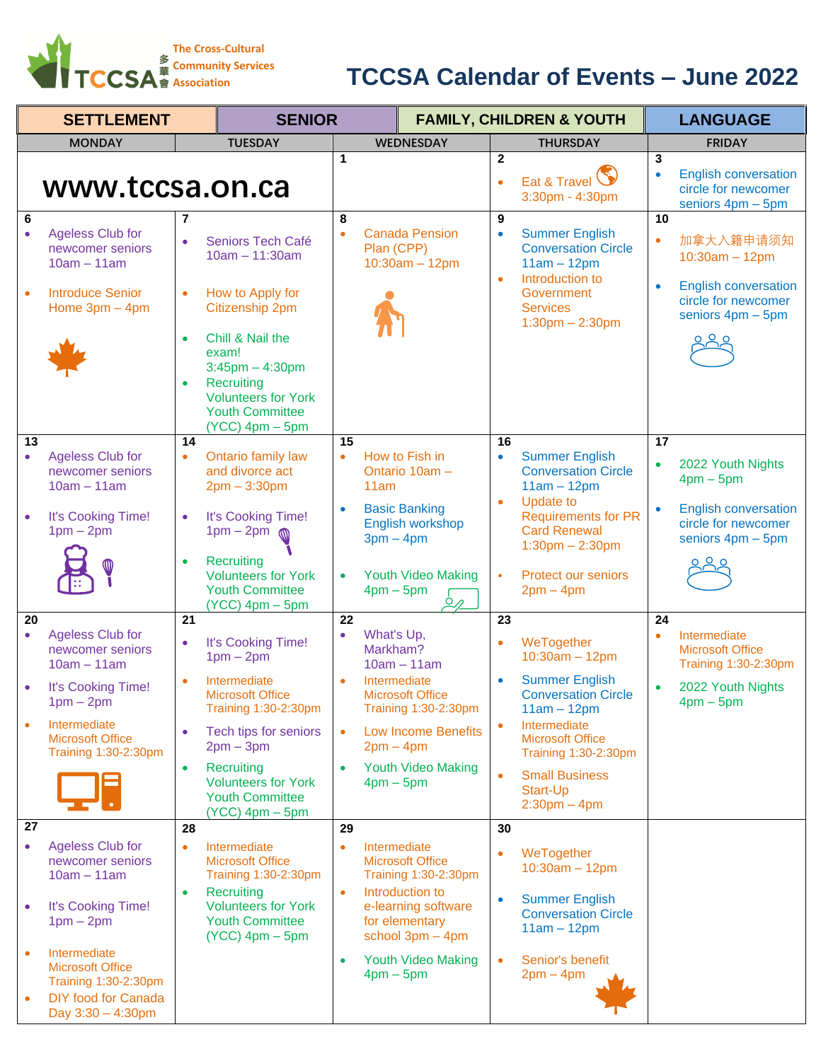

## **Association TCCSA Calendar of Events – June 2022**

| <b>SETTLEMENT</b>      |                                                                                                                       | <b>SENIOR</b>   |                                                                                                                                                |                  | <b>FAMILY, CHILDREN &amp; YOUTH</b>      |                                           |                                  |                                                                                                |                      | <b>LANGUAGE</b>                                                         |
|------------------------|-----------------------------------------------------------------------------------------------------------------------|-----------------|------------------------------------------------------------------------------------------------------------------------------------------------|------------------|------------------------------------------|-------------------------------------------|----------------------------------|------------------------------------------------------------------------------------------------|----------------------|-------------------------------------------------------------------------|
|                        | <b>MONDAY</b>                                                                                                         |                 | <b>TUESDAY</b>                                                                                                                                 |                  |                                          | <b>WEDNESDAY</b>                          |                                  | <b>THURSDAY</b>                                                                                |                      | <b>FRIDAY</b>                                                           |
| 6                      | www.tccsa.on.ca                                                                                                       | 7               |                                                                                                                                                | $\mathbf 1$<br>8 |                                          |                                           | $\overline{2}$<br>$\bullet$<br>9 | Eat & Travel<br>3:30pm - 4:30pm                                                                | 3<br>$\bullet$<br>10 | <b>English conversation</b><br>circle for newcomer<br>seniors 4pm - 5pm |
| $\bullet$              | <b>Ageless Club for</b><br>newcomer seniors<br>$10am - 11am$                                                          | ò               | Seniors Tech Café<br>$10am - 11:30am$                                                                                                          |                  | Plan (CPP)                               | <b>Canada Pension</b><br>$10:30am - 12pm$ | $\bullet$<br>$\bullet$           | <b>Summer English</b><br><b>Conversation Circle</b><br>$11am - 12pm$<br>Introduction to        | $\bullet$            | 加拿大入籍申请须知<br>$10:30am - 12pm$                                           |
| $\bullet$              | <b>Introduce Senior</b><br>Home $3pm - 4pm$                                                                           | $\bullet$       | How to Apply for<br>Citizenship 2pm                                                                                                            |                  |                                          |                                           |                                  | Government<br><b>Services</b><br>$1:30$ pm $- 2:30$ pm                                         | $\bullet$            | <b>English conversation</b><br>circle for newcomer<br>seniors 4pm - 5pm |
|                        |                                                                                                                       | $\bullet$       | Chill & Nail the<br>exam!<br>$3:45$ pm $-4:30$ pm<br>Recruiting<br><b>Volunteers for York</b><br><b>Youth Committee</b><br>$(YCC)$ 4pm $-$ 5pm |                  |                                          |                                           |                                  |                                                                                                |                      |                                                                         |
| 13<br>$\bullet$        | <b>Ageless Club for</b><br>newcomer seniors<br>$10am - 11am$                                                          | 14<br>$\bullet$ | Ontario family law<br>and divorce act<br>$2pm - 3:30pm$                                                                                        | 15<br>$\bullet$  | How to Fish in<br>Ontario 10am -<br>11am |                                           | 16<br>$\bullet$                  | <b>Summer English</b><br><b>Conversation Circle</b><br>$11am - 12pm$                           | 17<br>$\bullet$      | 2022 Youth Nights<br>$4pm - 5pm$                                        |
|                        | It's Cooking Time!<br>$1pm - 2pm$                                                                                     | $\bullet$       | It's Cooking Time!<br>$1pm - 2pm$<br>⋒                                                                                                         |                  | <b>Basic Banking</b><br>$3pm - 4pm$      | English workshop                          | $\bullet$                        | <b>Update to</b><br><b>Requirements for PR</b><br><b>Card Renewal</b><br>$1:30$ pm $- 2:30$ pm |                      | <b>English conversation</b><br>circle for newcomer<br>seniors 4pm - 5pm |
|                        |                                                                                                                       |                 | Recruiting<br><b>Volunteers for York</b><br><b>Youth Committee</b><br>$(YCC)$ 4pm $-$ 5pm                                                      | ٠                | $4pm - 5pm$                              | <b>Youth Video Making</b><br>$Q_{\ell}$   | $\bullet$                        | Protect our seniors<br>$2pm - 4pm$                                                             |                      |                                                                         |
| 20<br>$\bullet$        | <b>Ageless Club for</b><br>newcomer seniors<br>$10am - 11am$                                                          | 21<br>$\bullet$ | It's Cooking Time!<br>$1pm - 2pm$                                                                                                              | 22               | What's Up,<br>Markham?<br>$10am - 11am$  |                                           | 23<br>$\bullet$                  | WeTogether<br>$10:30am - 12pm$                                                                 | 24<br>$\bullet$      | Intermediate<br><b>Microsoft Office</b><br>Training 1:30-2:30pm         |
|                        | It's Cooking Time!<br>$1pm - 2pm$                                                                                     | $\bullet$       | Intermediate<br><b>Microsoft Office</b><br>Training 1:30-2:30pm                                                                                |                  | Intermediate<br><b>Microsoft Office</b>  | Training 1:30-2:30pm                      | $\bullet$                        | <b>Summer English</b><br><b>Conversation Circle</b><br>$11am - 12pm$                           | $\bullet$            | 2022 Youth Nights<br>$4pm - 5pm$                                        |
| $\bullet$              | Intermediate<br><b>Microsoft Office</b><br>Training 1:30-2:30pm                                                       |                 | Tech tips for seniors<br>$2pm - 3pm$                                                                                                           | $\bullet$        | $2pm - 4pm$                              | <b>Low Income Benefits</b>                |                                  | Intermediate<br><b>Microsoft Office</b><br>Training 1:30-2:30pm                                |                      |                                                                         |
|                        |                                                                                                                       | $\bullet$       | Recruiting<br><b>Volunteers for York</b><br><b>Youth Committee</b><br>$(YCC)$ 4pm $-$ 5pm                                                      |                  | $4pm - 5pm$                              | <b>Youth Video Making</b>                 | $\bullet$                        | <b>Small Business</b><br>Start-Up<br>$2:30$ pm $-4$ pm                                         |                      |                                                                         |
| 27                     |                                                                                                                       | 28              |                                                                                                                                                | 29               |                                          |                                           | 30                               |                                                                                                |                      |                                                                         |
| $\bullet$              | <b>Ageless Club for</b><br>newcomer seniors<br>$10am - 11am$                                                          | ٠               | Intermediate<br><b>Microsoft Office</b><br>Training 1:30-2:30pm                                                                                | $\bullet$        | Intermediate<br><b>Microsoft Office</b>  | Training 1:30-2:30pm                      | $\bullet$                        | WeTogether<br>$10:30am - 12pm$                                                                 |                      |                                                                         |
| $\bullet$              | It's Cooking Time!<br>$1pm - 2pm$                                                                                     | $\bullet$       | Recruiting<br><b>Volunteers for York</b><br><b>Youth Committee</b><br>$(YCC)$ 4pm $-$ 5pm                                                      | $\bullet$        | Introduction to<br>for elementary        | e-learning software<br>school 3pm - 4pm   | $\bullet$                        | <b>Summer English</b><br><b>Conversation Circle</b><br>$11am - 12pm$                           |                      |                                                                         |
| $\bullet$<br>$\bullet$ | Intermediate<br><b>Microsoft Office</b><br>Training 1:30-2:30pm<br><b>DIY</b> food for Canada<br>Day $3:30 - 4:30$ pm |                 |                                                                                                                                                | $\bullet$        | $4pm - 5pm$                              | <b>Youth Video Making</b>                 | $\bullet$                        | Senior's benefit<br>$2pm - 4pm$                                                                |                      |                                                                         |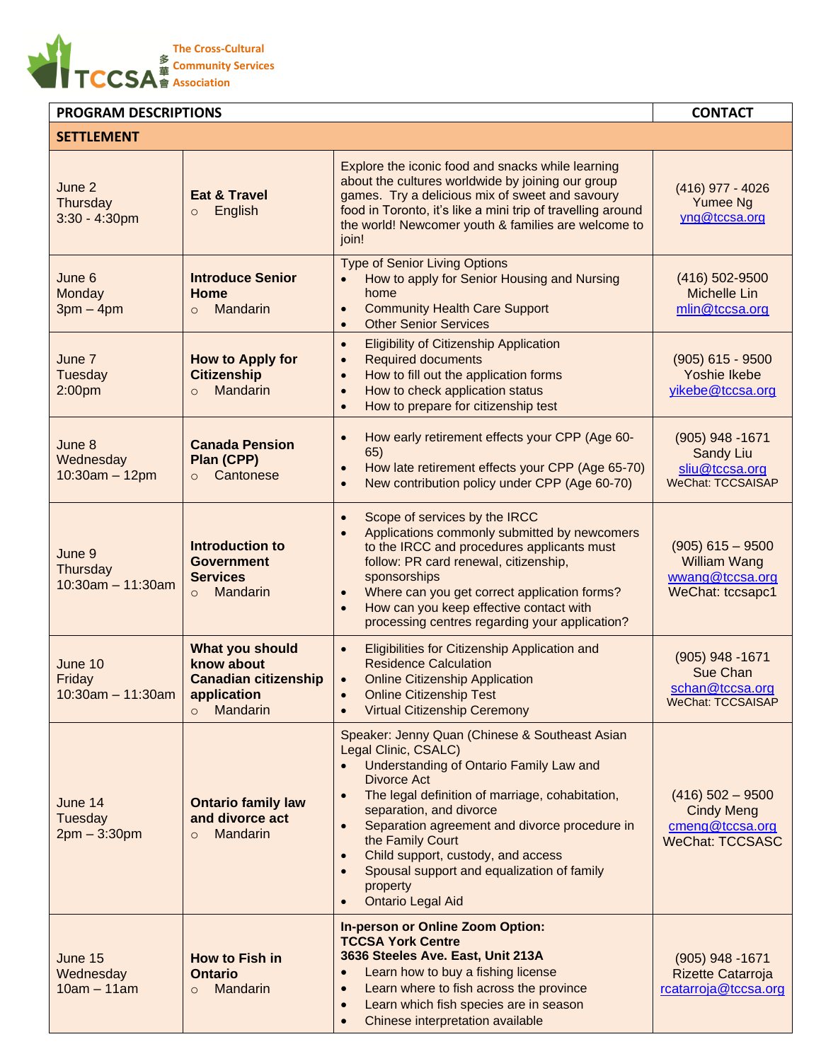

| <b>PROGRAM DESCRIPTIONS</b>               | <b>CONTACT</b>                                                                                     |                                                                                                                                                                                                                                                                                                                                                                                                                                           |                                                                                      |
|-------------------------------------------|----------------------------------------------------------------------------------------------------|-------------------------------------------------------------------------------------------------------------------------------------------------------------------------------------------------------------------------------------------------------------------------------------------------------------------------------------------------------------------------------------------------------------------------------------------|--------------------------------------------------------------------------------------|
| <b>SETTLEMENT</b>                         |                                                                                                    |                                                                                                                                                                                                                                                                                                                                                                                                                                           |                                                                                      |
| June 2<br>Thursday<br>3:30 - 4:30pm       | <b>Eat &amp; Travel</b><br>English<br>$\circ$                                                      | Explore the iconic food and snacks while learning<br>about the cultures worldwide by joining our group<br>games. Try a delicious mix of sweet and savoury<br>food in Toronto, it's like a mini trip of travelling around<br>the world! Newcomer youth & families are welcome to<br>join!                                                                                                                                                  | $(416)$ 977 - 4026<br><b>Yumee Ng</b><br>yng@tccsa.org                               |
| June 6<br>Monday<br>$3pm - 4pm$           | <b>Introduce Senior</b><br>Home<br>Mandarin<br>$\circ$                                             | <b>Type of Senior Living Options</b><br>How to apply for Senior Housing and Nursing<br>home<br><b>Community Health Care Support</b><br>$\bullet$<br><b>Other Senior Services</b><br>$\bullet$                                                                                                                                                                                                                                             | $(416)$ 502-9500<br><b>Michelle Lin</b><br>mlin@tccsa.org                            |
| June 7<br><b>Tuesday</b><br>2:00pm        | <b>How to Apply for</b><br><b>Citizenship</b><br><b>Mandarin</b><br>$\Omega$                       | <b>Eligibility of Citizenship Application</b><br>$\bullet$<br><b>Required documents</b><br>$\bullet$<br>How to fill out the application forms<br>$\bullet$<br>How to check application status<br>How to prepare for citizenship test                                                                                                                                                                                                      | $(905)$ 615 - 9500<br>Yoshie Ikebe<br>yikebe@tccsa.org                               |
| June 8<br>Wednesday<br>$10:30am - 12pm$   | <b>Canada Pension</b><br>Plan (CPP)<br>Cantonese<br>$\circ$                                        | How early retirement effects your CPP (Age 60-<br>$\bullet$<br>65)<br>How late retirement effects your CPP (Age 65-70)<br>$\bullet$<br>New contribution policy under CPP (Age 60-70)                                                                                                                                                                                                                                                      | $(905)$ 948 -1671<br><b>Sandy Liu</b><br>sliu@tccsa.org<br><b>WeChat: TCCSAISAP</b>  |
| June 9<br>Thursday<br>$10:30am - 11:30am$ | <b>Introduction to</b><br><b>Government</b><br><b>Services</b><br>Mandarin<br>$\Omega$             | Scope of services by the IRCC<br>$\bullet$<br>Applications commonly submitted by newcomers<br>to the IRCC and procedures applicants must<br>follow: PR card renewal, citizenship,<br>sponsorships<br>Where can you get correct application forms?<br>How can you keep effective contact with<br>processing centres regarding your application?                                                                                            | $(905)$ 615 - 9500<br><b>William Wang</b><br>wwang@tccsa.org<br>WeChat: tccsapc1     |
| June 10<br>Friday<br>$10:30$ am - 11:30am | What you should<br>know about<br><b>Canadian citizenship</b><br>application<br>Mandarin<br>$\circ$ | Eligibilities for Citizenship Application and<br>$\bullet$<br><b>Residence Calculation</b><br><b>Online Citizenship Application</b><br><b>Online Citizenship Test</b><br><b>Virtual Citizenship Ceremony</b>                                                                                                                                                                                                                              | (905) 948 - 1671<br>Sue Chan<br>schan@tccsa.org<br>WeChat: TCCSAISAP                 |
| June 14<br>Tuesday<br>$2pm - 3:30pm$      | <b>Ontario family law</b><br>and divorce act<br><b>Mandarin</b><br>$\circ$                         | Speaker: Jenny Quan (Chinese & Southeast Asian<br>Legal Clinic, CSALC)<br>Understanding of Ontario Family Law and<br>$\bullet$<br>Divorce Act<br>The legal definition of marriage, cohabitation,<br>$\bullet$<br>separation, and divorce<br>Separation agreement and divorce procedure in<br>the Family Court<br>Child support, custody, and access<br>Spousal support and equalization of family<br>property<br><b>Ontario Legal Aid</b> | $(416)$ 502 - 9500<br><b>Cindy Meng</b><br>cmeng@tccsa.org<br><b>WeChat: TCCSASC</b> |
| June 15<br>Wednesday<br>$10am - 11am$     | <b>How to Fish in</b><br><b>Ontario</b><br><b>Mandarin</b><br>$\circ$                              | <b>In-person or Online Zoom Option:</b><br><b>TCCSA York Centre</b><br>3636 Steeles Ave. East, Unit 213A<br>Learn how to buy a fishing license<br>Learn where to fish across the province<br>$\bullet$<br>Learn which fish species are in season<br>$\bullet$<br>Chinese interpretation available                                                                                                                                         | $(905)$ 948 -1671<br>Rizette Catarroja<br>rcatarroja@tccsa.org                       |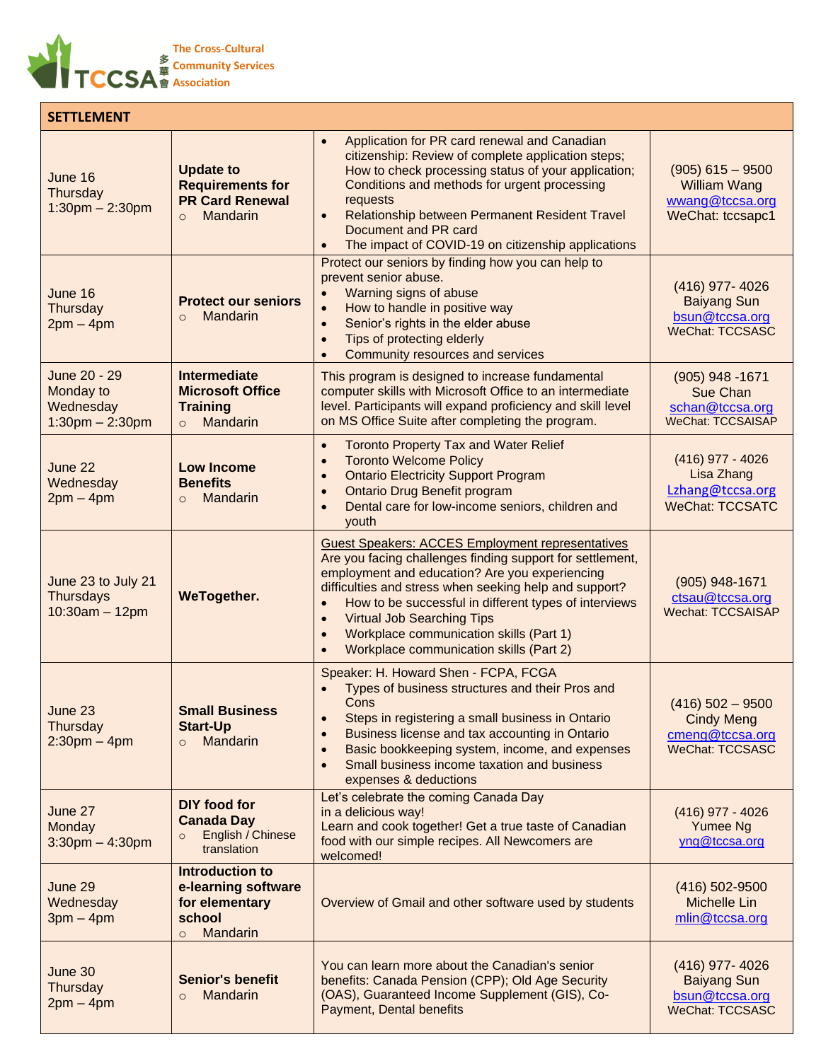

| <b>SETTLEMENT</b>                                               |                                                                                                  |                                                                                                                                                                                                                                                                                                                                                                                                                                                                          |                                                                                      |
|-----------------------------------------------------------------|--------------------------------------------------------------------------------------------------|--------------------------------------------------------------------------------------------------------------------------------------------------------------------------------------------------------------------------------------------------------------------------------------------------------------------------------------------------------------------------------------------------------------------------------------------------------------------------|--------------------------------------------------------------------------------------|
| June 16<br>Thursday<br>$1:30$ pm $- 2:30$ pm                    | <b>Update to</b><br><b>Requirements for</b><br><b>PR Card Renewal</b><br>Mandarin<br>$\circ$     | Application for PR card renewal and Canadian<br>$\bullet$<br>citizenship: Review of complete application steps;<br>How to check processing status of your application;<br>Conditions and methods for urgent processing<br>requests<br>Relationship between Permanent Resident Travel<br>$\bullet$<br>Document and PR card<br>The impact of COVID-19 on citizenship applications<br>$\bullet$                                                                             | $(905)$ 615 - 9500<br><b>William Wang</b><br>wwang@tccsa.org<br>WeChat: tccsapc1     |
| June 16<br>Thursday<br>$2pm - 4pm$                              | <b>Protect our seniors</b><br><b>Mandarin</b><br>$\circ$                                         | Protect our seniors by finding how you can help to<br>prevent senior abuse.<br>Warning signs of abuse<br>$\bullet$<br>How to handle in positive way<br>$\bullet$<br>Senior's rights in the elder abuse<br>$\bullet$<br>Tips of protecting elderly<br>$\bullet$<br>Community resources and services<br>$\bullet$                                                                                                                                                          | (416) 977-4026<br><b>Baiyang Sun</b><br>bsun@tccsa.org<br><b>WeChat: TCCSASC</b>     |
| June 20 - 29<br>Monday to<br>Wednesday<br>$1:30$ pm $- 2:30$ pm | <b>Intermediate</b><br><b>Microsoft Office</b><br><b>Training</b><br>Mandarin<br>$\Omega$        | This program is designed to increase fundamental<br>computer skills with Microsoft Office to an intermediate<br>level. Participants will expand proficiency and skill level<br>on MS Office Suite after completing the program.                                                                                                                                                                                                                                          | $(905)$ 948 -1671<br>Sue Chan<br>schan@tccsa.org<br><b>WeChat: TCCSAISAP</b>         |
| June 22<br>Wednesday<br>$2pm - 4pm$                             | <b>Low Income</b><br><b>Benefits</b><br>Mandarin<br>$\circ$                                      | <b>Toronto Property Tax and Water Relief</b><br>$\bullet$<br><b>Toronto Welcome Policy</b><br>$\bullet$<br><b>Ontario Electricity Support Program</b><br>$\bullet$<br><b>Ontario Drug Benefit program</b><br>$\bullet$<br>Dental care for low-income seniors, children and<br>$\bullet$<br>youth                                                                                                                                                                         | $(416)$ 977 - 4026<br>Lisa Zhang<br>Lzhang@tccsa.org<br><b>WeChat: TCCSATC</b>       |
| June 23 to July 21<br><b>Thursdays</b><br>$10:30am - 12pm$      | WeTogether.                                                                                      | <b>Guest Speakers: ACCES Employment representatives</b><br>Are you facing challenges finding support for settlement,<br>employment and education? Are you experiencing<br>difficulties and stress when seeking help and support?<br>How to be successful in different types of interviews<br>$\bullet$<br><b>Virtual Job Searching Tips</b><br>$\bullet$<br>Workplace communication skills (Part 1)<br>$\bullet$<br>Workplace communication skills (Part 2)<br>$\bullet$ | $(905)$ 948-1671<br>ctsau@tccsa.org<br>Wechat: TCCSAISAP                             |
| June 23<br>Thursday<br>$2:30$ pm $-4$ pm                        | <b>Small Business</b><br><b>Start-Up</b><br>Mandarin<br>$\circ$                                  | Speaker: H. Howard Shen - FCPA, FCGA<br>Types of business structures and their Pros and<br>$\bullet$<br>Cons<br>Steps in registering a small business in Ontario<br>$\bullet$<br>Business license and tax accounting in Ontario<br>$\bullet$<br>Basic bookkeeping system, income, and expenses<br>$\bullet$<br>Small business income taxation and business<br>$\bullet$<br>expenses & deductions                                                                         | $(416)$ 502 - 9500<br><b>Cindy Meng</b><br>cmeng@tccsa.org<br><b>WeChat: TCCSASC</b> |
| June 27<br>Monday<br>$3:30$ pm $-4:30$ pm                       | <b>DIY food for</b><br><b>Canada Day</b><br>English / Chinese<br>$\circ$<br>translation          | Let's celebrate the coming Canada Day<br>in a delicious way!<br>Learn and cook together! Get a true taste of Canadian<br>food with our simple recipes. All Newcomers are<br>welcomed!                                                                                                                                                                                                                                                                                    | $(416)$ 977 - 4026<br>Yumee Ng<br>yng@tccsa.org                                      |
| June 29<br>Wednesday<br>$3pm - 4pm$                             | <b>Introduction to</b><br>e-learning software<br>for elementary<br>school<br>Mandarin<br>$\circ$ | Overview of Gmail and other software used by students                                                                                                                                                                                                                                                                                                                                                                                                                    | (416) 502-9500<br>Michelle Lin<br>mlin@tccsa.org                                     |
| June 30<br>Thursday<br>$2pm - 4pm$                              | <b>Senior's benefit</b><br>Mandarin<br>$\circ$                                                   | You can learn more about the Canadian's senior<br>benefits: Canada Pension (CPP); Old Age Security<br>(OAS), Guaranteed Income Supplement (GIS), Co-<br>Payment, Dental benefits                                                                                                                                                                                                                                                                                         | (416) 977-4026<br><b>Baiyang Sun</b><br>bsun@tccsa.org<br>WeChat: TCCSASC            |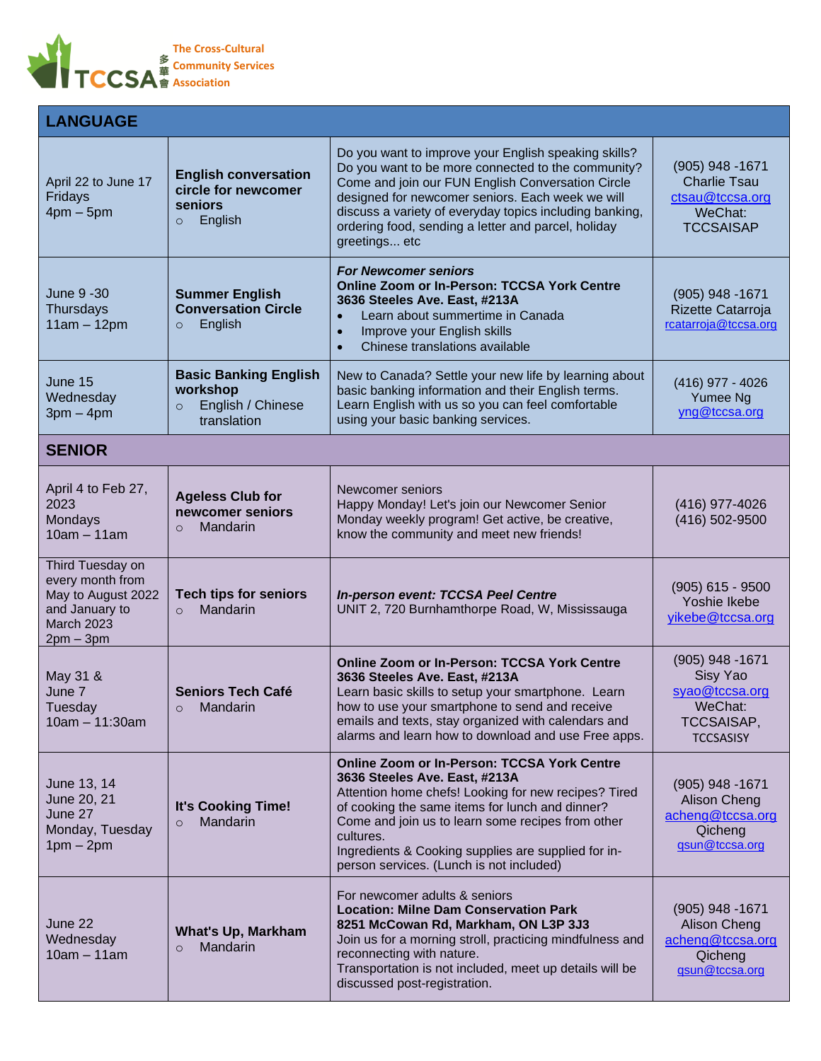

| <b>LANGUAGE</b>                                                                                                  |                                                                                         |                                                                                                                                                                                                                                                                                                                                                                     |                                                                                                     |
|------------------------------------------------------------------------------------------------------------------|-----------------------------------------------------------------------------------------|---------------------------------------------------------------------------------------------------------------------------------------------------------------------------------------------------------------------------------------------------------------------------------------------------------------------------------------------------------------------|-----------------------------------------------------------------------------------------------------|
| April 22 to June 17<br>Fridays<br>$4pm - 5pm$                                                                    | <b>English conversation</b><br>circle for newcomer<br>seniors<br>English<br>$\circ$     | Do you want to improve your English speaking skills?<br>Do you want to be more connected to the community?<br>Come and join our FUN English Conversation Circle<br>designed for newcomer seniors. Each week we will<br>discuss a variety of everyday topics including banking,<br>ordering food, sending a letter and parcel, holiday<br>greetings etc              | $(905)$ 948 -1671<br><b>Charlie Tsau</b><br>ctsau@tccsa.org<br>WeChat:<br><b>TCCSAISAP</b>          |
| June 9 -30<br>Thursdays<br>$11am - 12pm$                                                                         | <b>Summer English</b><br><b>Conversation Circle</b><br>English<br>$\circ$               | <b>For Newcomer seniors</b><br><b>Online Zoom or In-Person: TCCSA York Centre</b><br>3636 Steeles Ave. East, #213A<br>Learn about summertime in Canada<br>Improve your English skills<br>$\bullet$<br>Chinese translations available<br>$\bullet$                                                                                                                   | $(905)$ 948 -1671<br>Rizette Catarroja<br>rcatarroja@tccsa.org                                      |
| June 15<br>Wednesday<br>$3pm - 4pm$                                                                              | <b>Basic Banking English</b><br>workshop<br>English / Chinese<br>$\circ$<br>translation | New to Canada? Settle your new life by learning about<br>basic banking information and their English terms.<br>Learn English with us so you can feel comfortable<br>using your basic banking services.                                                                                                                                                              | $(416)$ 977 - 4026<br>Yumee Ng<br>yng@tccsa.org                                                     |
| <b>SENIOR</b>                                                                                                    |                                                                                         |                                                                                                                                                                                                                                                                                                                                                                     |                                                                                                     |
| April 4 to Feb 27,<br>2023<br>Mondays<br>$10am - 11am$                                                           | <b>Ageless Club for</b><br>newcomer seniors<br>Mandarin<br>$\circ$                      | Newcomer seniors<br>Happy Monday! Let's join our Newcomer Senior<br>Monday weekly program! Get active, be creative,<br>know the community and meet new friends!                                                                                                                                                                                                     | (416) 977-4026<br>(416) 502-9500                                                                    |
| Third Tuesday on<br>every month from<br>May to August 2022<br>and January to<br><b>March 2023</b><br>$2pm - 3pm$ | <b>Tech tips for seniors</b><br>Mandarin<br>$\circ$                                     | In-person event: TCCSA Peel Centre<br>UNIT 2, 720 Burnhamthorpe Road, W, Mississauga                                                                                                                                                                                                                                                                                | $(905)$ 615 - 9500<br>Yoshie Ikebe<br>yikebe@tccsa.org                                              |
| May 31 &<br>June 7<br>Tuesday<br>10am - 11:30am                                                                  | <b>Seniors Tech Café</b><br>Mandarin                                                    | <b>Online Zoom or In-Person: TCCSA York Centre</b><br>3636 Steeles Ave. East, #213A<br>Learn basic skills to setup your smartphone. Learn<br>how to use your smartphone to send and receive<br>emails and texts, stay organized with calendars and<br>alarms and learn how to download and use Free apps.                                                           | $(905)$ 948 -1671<br>Sisy Yao<br>syao@tccsa.org<br>WeChat:<br><b>TCCSAISAP,</b><br><b>TCCSASISY</b> |
| June 13, 14<br>June 20, 21<br>June 27<br>Monday, Tuesday<br>$1pm - 2pm$                                          | It's Cooking Time!<br>Mandarin<br>$\circ$                                               | <b>Online Zoom or In-Person: TCCSA York Centre</b><br>3636 Steeles Ave. East, #213A<br>Attention home chefs! Looking for new recipes? Tired<br>of cooking the same items for lunch and dinner?<br>Come and join us to learn some recipes from other<br>cultures.<br>Ingredients & Cooking supplies are supplied for in-<br>person services. (Lunch is not included) | (905) 948 - 1671<br>Alison Cheng<br>acheng@tccsa.org<br>Qicheng<br>gsun@tccsa.org                   |
| June 22<br>Wednesday<br>$10am - 11am$                                                                            | <b>What's Up, Markham</b><br>Mandarin<br>$\circ$                                        | For newcomer adults & seniors<br><b>Location: Milne Dam Conservation Park</b><br>8251 McCowan Rd, Markham, ON L3P 3J3<br>Join us for a morning stroll, practicing mindfulness and<br>reconnecting with nature.<br>Transportation is not included, meet up details will be<br>discussed post-registration.                                                           | $(905)$ 948 -1671<br>Alison Cheng<br>acheng@tccsa.org<br>Qicheng<br>gsun@tccsa.org                  |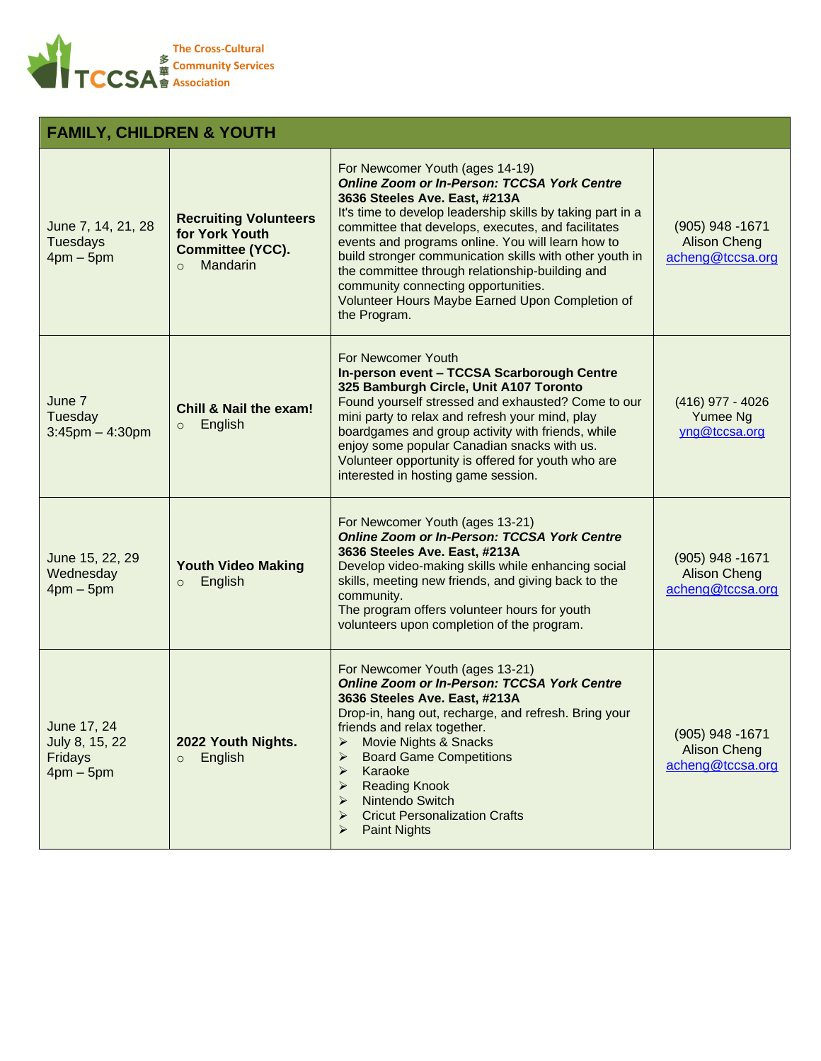

## **FAMILY, CHILDREN & YOUTH**

| June 7, 14, 21, 28<br><b>Tuesdays</b><br>$4pm - 5pm$       | <b>Recruiting Volunteers</b><br>for York Youth<br><b>Committee (YCC).</b><br>Mandarin<br>$\Omega$ | For Newcomer Youth (ages 14-19)<br><b>Online Zoom or In-Person: TCCSA York Centre</b><br>3636 Steeles Ave. East, #213A<br>It's time to develop leadership skills by taking part in a<br>committee that develops, executes, and facilitates<br>events and programs online. You will learn how to<br>build stronger communication skills with other youth in<br>the committee through relationship-building and<br>community connecting opportunities.<br>Volunteer Hours Maybe Earned Upon Completion of<br>the Program. | $(905)$ 948 -1671<br><b>Alison Cheng</b><br>acheng@tccsa.org |
|------------------------------------------------------------|---------------------------------------------------------------------------------------------------|-------------------------------------------------------------------------------------------------------------------------------------------------------------------------------------------------------------------------------------------------------------------------------------------------------------------------------------------------------------------------------------------------------------------------------------------------------------------------------------------------------------------------|--------------------------------------------------------------|
| June 7<br>Tuesday<br>$3:45$ pm $-4:30$ pm                  | <b>Chill &amp; Nail the exam!</b><br>English<br>$\circ$                                           | For Newcomer Youth<br>In-person event - TCCSA Scarborough Centre<br>325 Bamburgh Circle, Unit A107 Toronto<br>Found yourself stressed and exhausted? Come to our<br>mini party to relax and refresh your mind, play<br>boardgames and group activity with friends, while<br>enjoy some popular Canadian snacks with us.<br>Volunteer opportunity is offered for youth who are<br>interested in hosting game session.                                                                                                    | $(416)$ 977 - 4026<br>Yumee Ng<br>yng@tccsa.org              |
| June 15, 22, 29<br>Wednesday<br>$4pm - 5pm$                | <b>Youth Video Making</b><br>English<br>$\circ$                                                   | For Newcomer Youth (ages 13-21)<br><b>Online Zoom or In-Person: TCCSA York Centre</b><br>3636 Steeles Ave. East, #213A<br>Develop video-making skills while enhancing social<br>skills, meeting new friends, and giving back to the<br>community.<br>The program offers volunteer hours for youth<br>volunteers upon completion of the program.                                                                                                                                                                         | $(905)$ 948 -1671<br><b>Alison Cheng</b><br>acheng@tccsa.org |
| June 17, 24<br>July 8, 15, 22<br>Fridays<br>$4$ pm $-5$ pm | 2022 Youth Nights.<br>English<br>$\circ$                                                          | For Newcomer Youth (ages 13-21)<br><b>Online Zoom or In-Person: TCCSA York Centre</b><br>3636 Steeles Ave. East, #213A<br>Drop-in, hang out, recharge, and refresh. Bring your<br>friends and relax together.<br>> Movie Nights & Snacks<br><b>Board Game Competitions</b><br>Karaoke<br>➤<br><b>Reading Knook</b><br>Nintendo Switch<br><b>Cricut Personalization Crafts</b><br><b>Paint Nights</b>                                                                                                                    | $(905)$ 948 -1671<br><b>Alison Cheng</b><br>acheng@tccsa.org |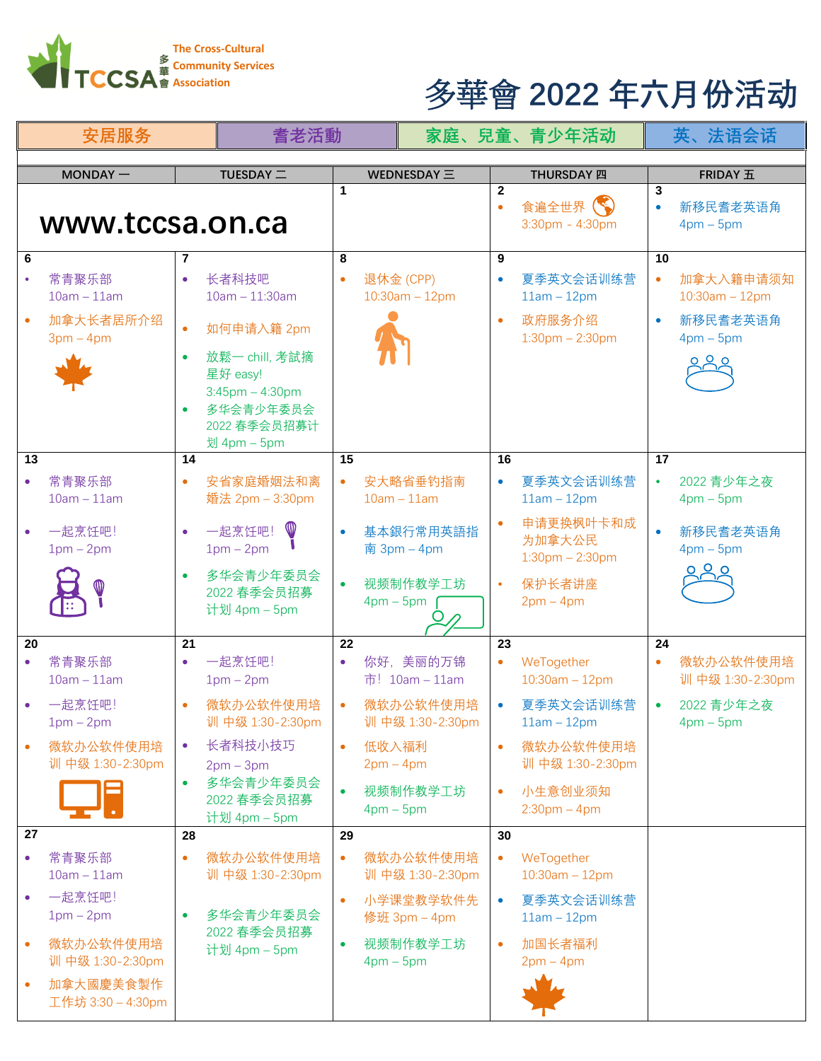

## **Association** 多華會 **2022 年六月份活动**

| 安居服务            |                                                  |                              | 耆老活動                                                                                                                                      |                      | 家庭、兒童、青少年活动                 |                               |                          |                                                               | 英、法语会话                             |                                                           |
|-----------------|--------------------------------------------------|------------------------------|-------------------------------------------------------------------------------------------------------------------------------------------|----------------------|-----------------------------|-------------------------------|--------------------------|---------------------------------------------------------------|------------------------------------|-----------------------------------------------------------|
|                 | $MONDAY -$                                       |                              | TUESDAY =                                                                                                                                 |                      |                             | WEDNESDAY $\equiv$            |                          | <b>THURSDAY 四</b>                                             |                                    | <b>FRIDAY 五</b>                                           |
| www.tccsa.on.ca |                                                  |                              | 1                                                                                                                                         |                      |                             | $\overline{2}$<br>$\bullet$   | 食遍全世界<br>3:30pm - 4:30pm | 3<br>$\bullet$                                                | 新移民耆老英语角<br>$4pm-5pm$              |                                                           |
| 6<br>13         | 常青聚乐部<br>$10am - 11am$<br>加拿大长者居所介绍<br>$3pm-4pm$ | $\bullet$<br>$\bullet$<br>14 | 长者科技吧<br>$10am - 11:30am$<br>如何申请入籍 2pm<br>放鬆一 chill, 考試摘<br>星好 easy!<br>$3:45$ pm $-4:30$ pm<br>多华会青少年委员会<br>2022 春季会员招募计<br>划 4pm - 5pm | 8<br>$\bullet$<br>15 | 退休金 (CPP)                   | $10:30$ am $-12$ pm           | 9<br>$\bullet$<br>16     | 夏季英文会话训练营<br>$11am - 12pm$<br>政府服务介绍<br>$1:30$ pm $- 2:30$ pm | 10<br>$\bullet$<br>$\bullet$<br>17 | 加拿大入籍申请须知<br>$10:30$ am $-12$ pm<br>新移民耆老英语角<br>$4pm-5pm$ |
|                 |                                                  |                              |                                                                                                                                           |                      |                             |                               |                          |                                                               |                                    |                                                           |
|                 | 常青聚乐部<br>$10am - 11am$                           | $\bullet$                    | 安省家庭婚姻法和离<br>婚法 2pm - 3:30pm                                                                                                              | $\bullet$            | $10am - 11am$               | 安大略省垂钓指南                      | $\bullet$                | 夏季英文会话训练营<br>$11am - 12pm$                                    | $\bullet$                          | 2022 青少年之夜<br>$4pm-5pm$                                   |
|                 | 一起烹饪吧!<br>$1pm - 2pm$                            |                              | 一起烹饪吧!<br>$1pm-2pm$                                                                                                                       |                      |                             | 基本銀行常用英語指<br>南 $3pm - 4pm$    |                          | 申请更换枫叶卡和成<br>为加拿大公民<br>$1:30$ pm $- 2:30$ pm                  | $\bullet$                          | 新移民耆老英语角<br>$4pm-5pm$                                     |
|                 |                                                  |                              | 多华会青少年委员会<br>2022 春季会员招募<br>计划 4pm - 5pm                                                                                                  |                      | $4 \text{pm} - 5 \text{pm}$ | 视频制作教学工坊                      |                          | 保护长者讲座<br>$2pm-4pm$                                           |                                    |                                                           |
| 20              |                                                  | 21                           |                                                                                                                                           | 22                   |                             |                               | 23                       |                                                               | 24                                 |                                                           |
|                 | 常青聚乐部<br>$10am - 11am$                           | $\bullet$                    | 一起烹饪吧!<br>$1pm-2pm$                                                                                                                       | $\bullet$            |                             | 你好, 美丽的万锦<br>市! 10am - 11am   | $\bullet$                | WeTogether<br>$10:30$ am $-12$ pm                             | $\bullet$                          | 微软办公软件使用培<br>训 中级 1:30-2:30pm                             |
|                 | 一起烹饪吧!<br>$1pm - 2pm$                            |                              | 微软办公软件使用培<br>训 中级 1:30-2:30pm                                                                                                             |                      |                             | 微软办公软件使用培<br>训 中级 1:30-2:30pm | $\bullet$                | 夏季英文会话训练营<br>$11am - 12pm$                                    | $\bullet$                          | 2022 青少年之夜<br>$4 \text{pm} - 5 \text{pm}$                 |
|                 | 微软办公软件使用培<br>训 中级 1:30-2:30pm                    |                              | 长者科技小技巧<br>$2pm-3pm$                                                                                                                      | $\bullet$            | 低收入福利<br>$2pm-4pm$          |                               | $\bullet$                | 微软办公软件使用培<br>训 中级 1:30-2:30pm                                 |                                    |                                                           |
|                 |                                                  | $\bullet$                    | 多华会青少年委员会<br>2022 春季会员招募<br>计划 4pm - 5pm                                                                                                  | $\bullet$            | $4pm-5pm$                   | 视频制作教学工坊                      | $\bullet$                | 小生意创业须知<br>$2:30$ pm $-4$ pm                                  |                                    |                                                           |
| 27              |                                                  | 28                           |                                                                                                                                           | 29                   |                             |                               | 30                       |                                                               |                                    |                                                           |
| $\bullet$       | 常青聚乐部<br>$10am - 11am$                           | $\bullet$                    | 微软办公软件使用培<br>训 中级 1:30-2:30pm                                                                                                             | $\bullet$            |                             | 微软办公软件使用培<br>训 中级 1:30-2:30pm | $\bullet$                | WeTogether<br>$10:30am - 12pm$                                |                                    |                                                           |
|                 | 一起烹饪吧!<br>$1pm - 2pm$                            |                              | 多华会青少年委员会                                                                                                                                 | $\bullet$            |                             | 小学课堂教学软件先<br>修班 3pm - 4pm     | $\bullet$                | 夏季英文会话训练营<br>$11am - 12pm$                                    |                                    |                                                           |
| $\bullet$       | 微软办公软件使用培<br>训 中级 1:30-2:30pm                    |                              | 2022 春季会员招募<br>计划 4pm - 5pm                                                                                                               |                      | $4pm-5pm$                   | 视频制作教学工坊                      | $\bullet$                | 加国长者福利<br>$2pm-4pm$                                           |                                    |                                                           |
| $\bullet$       | 加拿大國慶美食製作<br>工作坊 3:30 - 4:30pm                   |                              |                                                                                                                                           |                      |                             |                               |                          |                                                               |                                    |                                                           |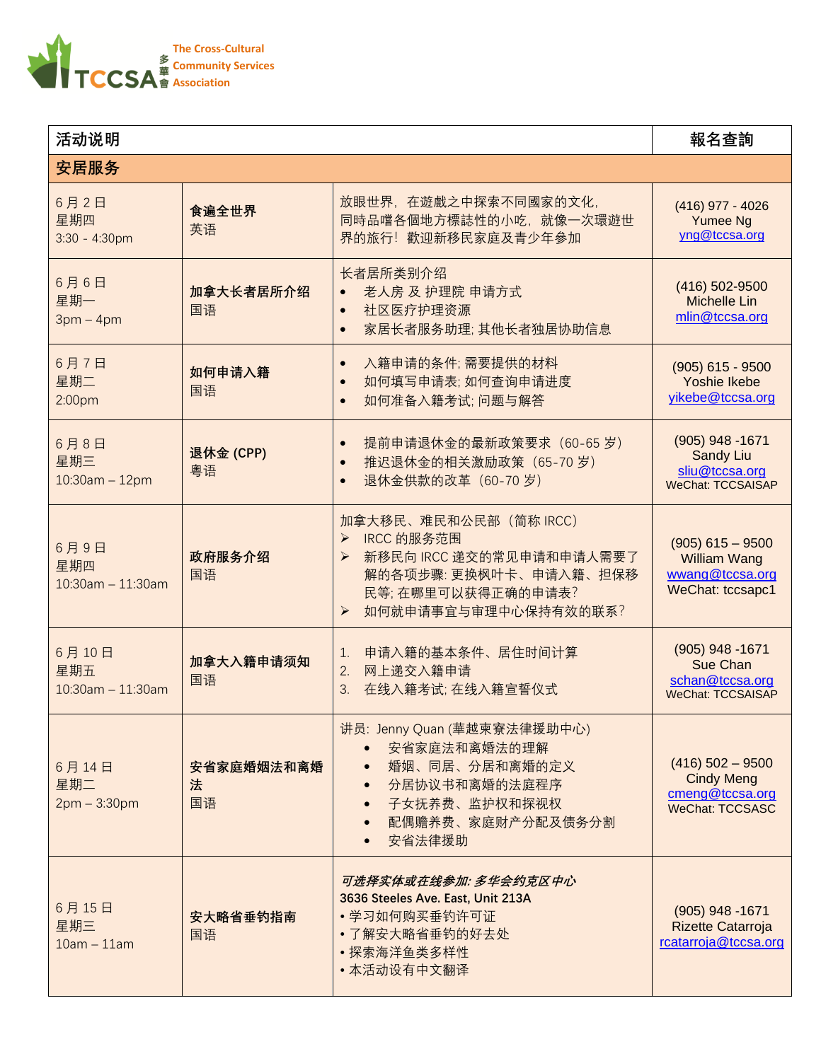

| 活动说明                                    | 報名查詢                  |                                                                                                                                                                        |                                                                                      |  |  |  |
|-----------------------------------------|-----------------------|------------------------------------------------------------------------------------------------------------------------------------------------------------------------|--------------------------------------------------------------------------------------|--|--|--|
| 安居服务                                    |                       |                                                                                                                                                                        |                                                                                      |  |  |  |
| 6月2日<br>星期四<br>$3:30 - 4:30$ pm         | 食遍全世界<br>英语           | 放眼世界, 在遊戲之中探索不同國家的文化,<br>同時品嚐各個地方標誌性的小吃, 就像一次環遊世<br>界的旅行! 歡迎新移民家庭及青少年參加                                                                                                | (416) 977 - 4026<br>Yumee Ng<br>yng@tccsa.org                                        |  |  |  |
| 6月6日<br>星期一<br>$3pm - 4pm$              | 加拿大长者居所介绍<br>国语       | 长者居所类别介绍<br>老人房 及 护理院 申请方式<br>社区医疗护理资源<br>$\bullet$<br>家居长者服务助理;其他长者独居协助信息<br>$\bullet$                                                                                | (416) 502-9500<br><b>Michelle Lin</b><br>mlin@tccsa.org                              |  |  |  |
| 6月7日<br>星期二<br>2:00 <sub>pm</sub>       | 如何申请入籍<br>国语          | 入籍申请的条件;需要提供的材料<br>$\bullet$<br>如何填写申请表;如何查询申请进度<br>$\bullet$<br>如何准备入籍考试; 问题与解答<br>$\bullet$                                                                          | $(905)$ 615 - 9500<br><b>Yoshie Ikebe</b><br>yikebe@tccsa.org                        |  |  |  |
| 6月8日<br>星期三<br>$10:30am - 12pm$         | 退休金 (CPP)<br>粵语       | 提前申请退休金的最新政策要求 (60-65 岁)<br>$\bullet$<br>推迟退休金的相关激励政策 (65-70岁)<br>$\bullet$<br>退休金供款的改革 (60-70岁)<br>$\bullet$                                                          | (905) 948 -1671<br><b>Sandy Liu</b><br>sliu@tccsa.org<br><b>WeChat: TCCSAISAP</b>    |  |  |  |
| 6月9日<br>星期四<br>$10:30$ am $- 11:30$ am  | 政府服务介绍<br>国语          | 加拿大移民、难民和公民部 (简称 IRCC)<br>> IRCC 的服务范围<br>新移民向 IRCC 递交的常见申请和申请人需要了<br>≻<br>解的各项步骤:更换枫叶卡、申请入籍、担保移<br>民等;在哪里可以获得正确的申请表?<br>$\blacktriangleright$<br>如何就申请事宜与审理中心保持有效的联系? | $(905)$ 615 - 9500<br><b>William Wang</b><br>wwang@tccsa.org<br>WeChat: tccsapc1     |  |  |  |
| 6月10日<br>星期五<br>$10:30$ am $- 11:30$ am | 加拿大入籍申请须知<br>国语       | 申请入籍的基本条件、居住时间计算<br>1.<br>网上递交入籍申请<br>2.<br>3.<br>在线入籍考试; 在线入籍宣誓仪式                                                                                                     | (905) 948 -1671<br>Sue Chan<br>schan@tccsa.org<br><b>WeChat: TCCSAISAP</b>           |  |  |  |
| 6月14日<br>星期二<br>$2pm - 3:30pm$          | 安省家庭婚姻法和离婚<br>法<br>国语 | 讲员: Jenny Quan (華越柬寮法律援助中心)<br>安省家庭法和离婚法的理解<br>婚姻、同居、分居和离婚的定义<br>分居协议书和离婚的法庭程序<br>$\bullet$<br>子女抚养费、监护权和探视权<br>配偶赡养费、家庭财产分配及债务分割<br>安省法律援助                            | $(416)$ 502 - 9500<br><b>Cindy Meng</b><br>cmeng@tccsa.org<br><b>WeChat: TCCSASC</b> |  |  |  |
| 6月15日<br>星期三<br>$10am - 11am$           | 安大略省垂钓指南<br>国语        | 可选择实体或在线参加: 多华会约克区中心<br>3636 Steeles Ave. East, Unit 213A<br>• 学习如何购买垂钓许可证<br>• 了解安大略省垂钓的好去处<br>•探索海洋鱼类多样性<br>• 本活动设有中文翻译                                              | $(905)$ 948 -1671<br>Rizette Catarroja<br>rcatarroja@tccsa.org                       |  |  |  |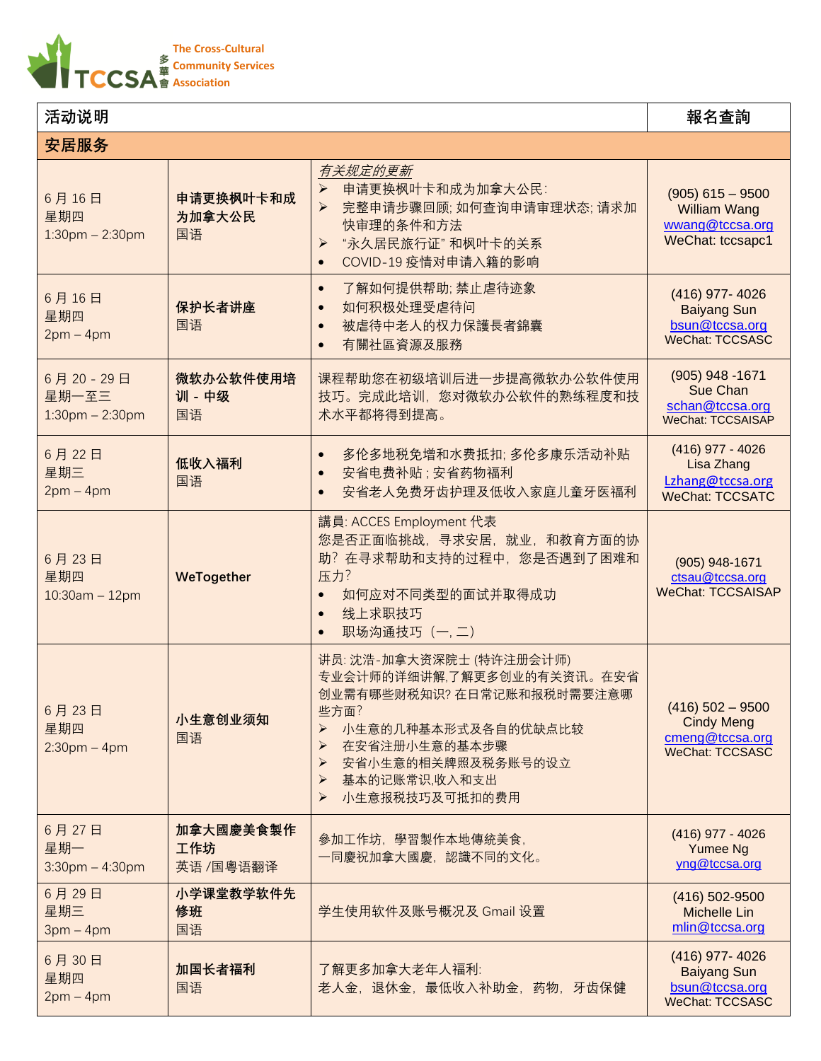

| 活动说明                                       |                              |                                                                                                                                                                                                                                                                | 報名查詢                                                                                 |
|--------------------------------------------|------------------------------|----------------------------------------------------------------------------------------------------------------------------------------------------------------------------------------------------------------------------------------------------------------|--------------------------------------------------------------------------------------|
| 安居服务                                       |                              |                                                                                                                                                                                                                                                                |                                                                                      |
| 6月16日<br>星期四<br>$1:30$ pm $- 2:30$ pm      | 申请更换枫叶卡和成<br>为加拿大公民<br>国语    | 有关规定的更新<br>申请更换枫叶卡和成为加拿大公民:<br>$\blacktriangleright$<br>完整申请步骤回顾; 如何查询申请审理状态; 请求加<br>➤<br>快审理的条件和方法<br>"永久居民旅行证" 和枫叶卡的关系<br>$\blacktriangleright$<br>COVID-19 疫情对申请入籍的影响<br>$\bullet$                                                                          | $(905)$ 615 - 9500<br><b>William Wang</b><br>wwang@tccsa.org<br>WeChat: tccsapc1     |
| 6月16日<br>星期四<br>$2pm-4pm$                  | 保护长者讲座<br>国语                 | 了解如何提供帮助;禁止虐待迹象<br>$\bullet$<br>如何积极处理受虐待问<br>$\bullet$<br>被虐待中老人的权力保護長者錦囊<br>$\bullet$<br>有關社區資源及服務<br>$\bullet$                                                                                                                                              | (416) 977-4026<br><b>Baiyang Sun</b><br>bsun@tccsa.org<br><b>WeChat: TCCSASC</b>     |
| 6月20-29日<br>星期一至三<br>$1:30$ pm $- 2:30$ pm | 微软办公软件使用培<br>训 - 中级<br>国语    | 课程帮助您在初级培训后进一步提高微软办公软件使用<br>技巧。完成此培训,您对微软办公软件的熟练程度和技<br>术水平都将得到提高。                                                                                                                                                                                             | $(905)$ 948 -1671<br>Sue Chan<br>schan@tccsa.org<br>WeChat: TCCSAISAP                |
| 6月22日<br>星期三<br>$2pm-4pm$                  | 低收入福利<br>国语                  | 多伦多地税免增和水费抵扣;多伦多康乐活动补贴<br>安省电费补贴; 安省药物福利<br>$\bullet$<br>安省老人免费牙齿护理及低收入家庭儿童牙医福利<br>$\bullet$                                                                                                                                                                   | $(416)$ 977 - 4026<br>Lisa Zhang<br>Lzhang@tccsa.org<br><b>WeChat: TCCSATC</b>       |
| 6月23日<br>星期四<br>$10:30$ am - 12pm          | WeTogether                   | 講員: ACCES Employment 代表<br>您是否正面临挑战, 寻求安居, 就业, 和教育方面的协<br>助? 在寻求帮助和支持的过程中, 您是否遇到了困难和<br>压力?<br>如何应对不同类型的面试并取得成功<br>$\bullet$<br>线上求职技巧<br>$\bullet$<br>职场沟通技巧 (一,二)<br>$\bullet$                                                                               | (905) 948-1671<br>ctsau@tccsa.org<br><b>WeChat: TCCSAISAP</b>                        |
| 6月23日<br>星期四<br>$2:30$ pm – 4pm            | 小生意创业须知<br>国语                | 讲员: 沈浩-加拿大资深院士 (特许注册会计师)<br>专业会计师的详细讲解,了解更多创业的有关资讯。在安省<br>创业需有哪些财税知识? 在日常记账和报税时需要注意哪<br>些方面?<br>小生意的几种基本形式及各自的优缺点比较<br>➤<br>在安省注册小生意的基本步骤<br>➤<br>安省小生意的相关牌照及税务账号的设立<br>$\blacktriangleright$<br>基本的记账常识,收入和支出<br>$\blacktriangleright$<br>小生意报税技巧及可抵扣的费用<br>➤ | $(416)$ 502 - 9500<br><b>Cindy Meng</b><br>cmeng@tccsa.org<br><b>WeChat: TCCSASC</b> |
| 6月27日<br>星期一<br>$3:30$ pm $-4:30$ pm       | 加拿大國慶美食製作<br>工作坊<br>英语/国粤语翻译 | 參加工作坊, 學習製作本地傳統美食,<br>一同慶祝加拿大國慶,認識不同的文化。                                                                                                                                                                                                                       | $(416)$ 977 - 4026<br>Yumee Ng<br>yng@tccsa.org                                      |
| 6月29日<br>星期三<br>$3pm-4pm$                  | 小学课堂教学软件先<br>修班<br>国语        | 学生使用软件及账号概况及 Gmail 设置                                                                                                                                                                                                                                          | (416) 502-9500<br><b>Michelle Lin</b><br>mlin@tccsa.org                              |
| 6月30日<br>星期四<br>$2pm-4pm$                  | 加国长者福利<br>国语                 | 了解更多加拿大老年人福利:<br>老人金, 退休金, 最低收入补助金, 药物, 牙齿保健                                                                                                                                                                                                                   | (416) 977-4026<br><b>Baiyang Sun</b><br>bsun@tccsa.org<br><b>WeChat: TCCSASC</b>     |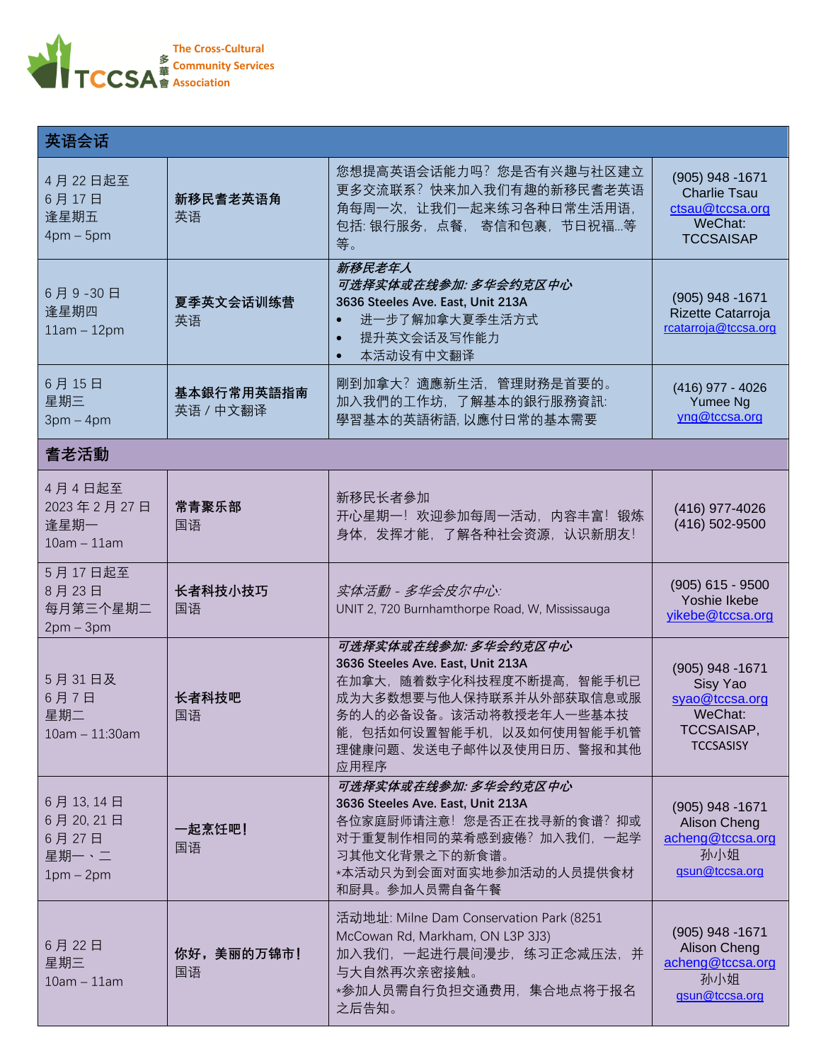

| 英语会话                                                |                         |                                                                                                                                                                                                               |                                                                                                   |
|-----------------------------------------------------|-------------------------|---------------------------------------------------------------------------------------------------------------------------------------------------------------------------------------------------------------|---------------------------------------------------------------------------------------------------|
| 4月22日起至<br>6月17日<br>逢星期五<br>$4pm-5pm$               | 新移民耆老英语角<br>英语          | 您想提高英语会话能力吗?您是否有兴趣与社区建立<br>更多交流联系?快来加入我们有趣的新移民耆老英语<br>角每周一次, 让我们一起来练习各种日常生活用语,<br>包括:银行服务, 点餐, 寄信和包裹, 节日祝福等<br>等。                                                                                             | (905) 948 -1671<br><b>Charlie Tsau</b><br>ctsau@tccsa.org<br>WeChat:<br><b>TCCSAISAP</b>          |
| 6月9-30日<br>逢星期四<br>$11am - 12pm$                    | 夏季英文会话训练营<br>英语         | 新移民老年人<br>可选择实体或在线参加: 多华会约克区中心<br>3636 Steeles Ave. East, Unit 213A<br>进一步了解加拿大夏季生活方式<br>提升英文会话及写作能力<br>本活动设有中文翻译                                                                                             | $(905)$ 948 -1671<br>Rizette Catarroja<br>rcatarroja@tccsa.org                                    |
| 6月15日<br>星期三<br>$3pm-4pm$                           | 基本銀行常用英語指南<br>英语 / 中文翻译 | 剛到加拿大? 適應新生活, 管理財務是首要的。<br>加入我們的工作坊,了解基本的銀行服務資訊:<br>學習基本的英語術語, 以應付日常的基本需要                                                                                                                                     | (416) 977 - 4026<br>Yumee Ng<br>yng@tccsa.org                                                     |
| 耆老活動                                                |                         |                                                                                                                                                                                                               |                                                                                                   |
| 4月4日起至<br>2023年2月27日<br>逢星期一<br>$10am - 11am$       | 常青聚乐部<br>国语             | 新移民长者參加<br>开心星期一! 欢迎参加每周一活动, 内容丰富! 锻炼<br>身体,发挥才能,了解各种社会资源,认识新朋友!                                                                                                                                              | (416) 977-4026<br>(416) 502-9500                                                                  |
| 5月17日起至<br>8月23日<br>每月第三个星期二<br>$2pm-3pm$           | 长者科技小技巧<br>国语           | 实体活動 - 多华会皮尔中心:<br>UNIT 2, 720 Burnhamthorpe Road, W, Mississauga                                                                                                                                             | $(905)$ 615 - 9500<br>Yoshie Ikebe<br>yikebe@tccsa.org                                            |
| 5月31日及<br>6月7日<br>星期二<br>10am - 11:30am             | 长者科技吧<br>国语             | 可选择实体或在线参加: 多华会约克区中心<br>3636 Steeles Ave. East, Unit 213A<br>在加拿大,随着数字化科技程度不断提高,智能手机已<br>成为大多数想要与他人保持联系并从外部获取信息或服<br>务的人的必备设备。该活动将教授老年人一些基本技<br>能,包括如何设置智能手机, 以及如何使用智能手机管<br>理健康问题、发送电子邮件以及使用日历、警报和其他<br>应用程序 | (905) 948 -1671<br>Sisy Yao<br>syao@tccsa.org<br>WeChat:<br><b>TCCSAISAP.</b><br><b>TCCSASISY</b> |
| 6月13,14日<br>6月20,21日<br>6月27日<br>星期一、二<br>$1pm-2pm$ | 一起烹饪吧!<br>国语            | 可选择实体或在线参加: 多华会约克区中心<br>3636 Steeles Ave. East, Unit 213A<br>各位家庭厨师请注意! 您是否正在找寻新的食谱? 抑或<br>对于重复制作相同的菜肴感到疲倦?加入我们,一起学<br>习其他文化背景之下的新食谱。<br>*本活动只为到会面对面实地参加活动的人员提供食材<br>和厨具。参加人员需自备午餐                            | $(905)$ 948 -1671<br>Alison Cheng<br>acheng@tccsa.org<br>孙小姐<br>gsun@tccsa.org                    |
| 6月22日<br>星期三<br>$10am - 11am$                       | 你好,美丽的万锦市!<br>国语        | 活动地址: Milne Dam Conservation Park (8251<br>McCowan Rd, Markham, ON L3P 3J3)<br>加入我们,一起进行晨间漫步,练习正念减压法,并<br>与大自然再次亲密接触。<br>*参加人员需自行负担交通费用,集合地点将于报名<br>之后告知。                                                     | $(905)$ 948 -1671<br>Alison Cheng<br>acheng@tccsa.org<br>孙小姐<br>gsun@tccsa.org                    |